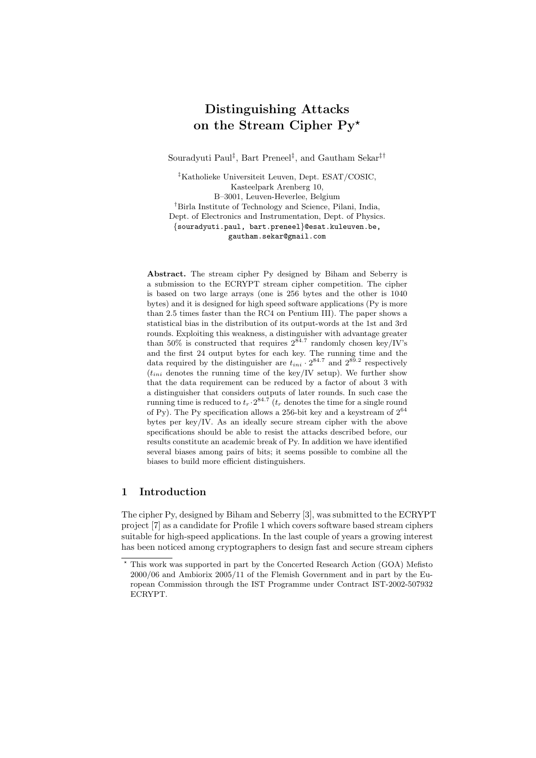# Distinguishing Attacks on the Stream Cipher  $Py^{\star}$

Souradyuti Paul‡ , Bart Preneel‡ , and Gautham Sekar‡†

‡Katholieke Universiteit Leuven, Dept. ESAT/COSIC, Kasteelpark Arenberg 10, B–3001, Leuven-Heverlee, Belgium †Birla Institute of Technology and Science, Pilani, India, Dept. of Electronics and Instrumentation, Dept. of Physics. {souradyuti.paul, bart.preneel}@esat.kuleuven.be, gautham.sekar@gmail.com

Abstract. The stream cipher Py designed by Biham and Seberry is a submission to the ECRYPT stream cipher competition. The cipher is based on two large arrays (one is 256 bytes and the other is 1040 bytes) and it is designed for high speed software applications (Py is more than 2.5 times faster than the RC4 on Pentium III). The paper shows a statistical bias in the distribution of its output-words at the 1st and 3rd rounds. Exploiting this weakness, a distinguisher with advantage greater than 50% is constructed that requires  $2^{84.7}$  randomly chosen key/IV's and the first 24 output bytes for each key. The running time and the data required by the distinguisher are  $t_{ini} \cdot 2^{84.7}$  and  $2^{89.2}$  respectively  $(t_{ini}$  denotes the running time of the key/IV setup). We further show that the data requirement can be reduced by a factor of about 3 with a distinguisher that considers outputs of later rounds. In such case the running time is reduced to  $t_r \cdot 2^{84.7}$   $(t_r$  denotes the time for a single round of Py). The Py specification allows a 256-bit key and a keystream of  $2^{64}$ bytes per key/IV. As an ideally secure stream cipher with the above specifications should be able to resist the attacks described before, our results constitute an academic break of Py. In addition we have identified several biases among pairs of bits; it seems possible to combine all the biases to build more efficient distinguishers.

# 1 Introduction

The cipher Py, designed by Biham and Seberry [3], was submitted to the ECRYPT project [7] as a candidate for Profile 1 which covers software based stream ciphers suitable for high-speed applications. In the last couple of years a growing interest has been noticed among cryptographers to design fast and secure stream ciphers

<sup>?</sup> This work was supported in part by the Concerted Research Action (GOA) Mefisto 2000/06 and Ambiorix 2005/11 of the Flemish Government and in part by the European Commission through the IST Programme under Contract IST-2002-507932 ECRYPT.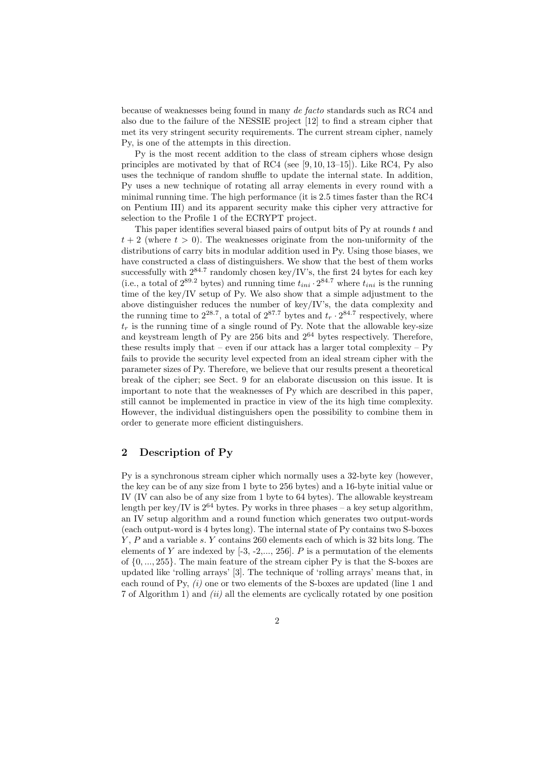because of weaknesses being found in many de facto standards such as RC4 and also due to the failure of the NESSIE project [12] to find a stream cipher that met its very stringent security requirements. The current stream cipher, namely Py, is one of the attempts in this direction.

Py is the most recent addition to the class of stream ciphers whose design principles are motivated by that of RC4 (see [9, 10, 13–15]). Like RC4, Py also uses the technique of random shuffle to update the internal state. In addition, Py uses a new technique of rotating all array elements in every round with a minimal running time. The high performance (it is 2.5 times faster than the RC4 on Pentium III) and its apparent security make this cipher very attractive for selection to the Profile 1 of the ECRYPT project.

This paper identifies several biased pairs of output bits of Py at rounds t and  $t + 2$  (where  $t > 0$ ). The weaknesses originate from the non-uniformity of the distributions of carry bits in modular addition used in Py. Using those biases, we have constructed a class of distinguishers. We show that the best of them works successfully with  $2^{84.7}$  randomly chosen key/IV's, the first 24 bytes for each key (i.e., a total of  $2^{89.2}$  bytes) and running time  $t_{ini} \cdot 2^{84.7}$  where  $t_{ini}$  is the running time of the key/IV setup of Py. We also show that a simple adjustment to the above distinguisher reduces the number of key/IV's, the data complexity and the running time to  $2^{28.7}$ , a total of  $2^{87.7}$  bytes and  $t_r \cdot 2^{84.7}$  respectively, where  $t_r$  is the running time of a single round of Py. Note that the allowable key-size and keystream length of Py are  $256$  bits and  $2^{64}$  bytes respectively. Therefore, these results imply that – even if our attack has a larger total complexity –  $Py$ fails to provide the security level expected from an ideal stream cipher with the parameter sizes of Py. Therefore, we believe that our results present a theoretical break of the cipher; see Sect. 9 for an elaborate discussion on this issue. It is important to note that the weaknesses of Py which are described in this paper, still cannot be implemented in practice in view of the its high time complexity. However, the individual distinguishers open the possibility to combine them in order to generate more efficient distinguishers.

# 2 Description of Py

Py is a synchronous stream cipher which normally uses a 32-byte key (however, the key can be of any size from 1 byte to 256 bytes) and a 16-byte initial value or IV (IV can also be of any size from 1 byte to 64 bytes). The allowable keystream length per key/IV is  $2^{64}$  bytes. Py works in three phases – a key setup algorithm, an IV setup algorithm and a round function which generates two output-words (each output-word is 4 bytes long). The internal state of Py contains two S-boxes Y, P and a variable s. Y contains 260 elements each of which is 32 bits long. The elements of Y are indexed by  $[-3, -2, \ldots, 256]$ . P is a permutation of the elements of {0, ..., 255}. The main feature of the stream cipher Py is that the S-boxes are updated like 'rolling arrays' [3]. The technique of 'rolling arrays' means that, in each round of Py,  $(i)$  one or two elements of the S-boxes are updated (line 1 and 7 of Algorithm 1) and (ii) all the elements are cyclically rotated by one position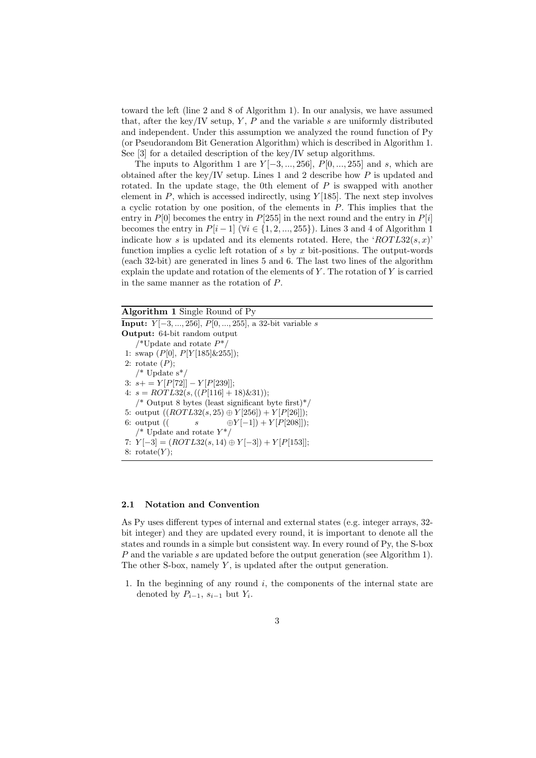toward the left (line 2 and 8 of Algorithm 1). In our analysis, we have assumed that, after the key/IV setup,  $Y$ ,  $P$  and the variable  $s$  are uniformly distributed and independent. Under this assumption we analyzed the round function of Py (or Pseudorandom Bit Generation Algorithm) which is described in Algorithm 1. See [3] for a detailed description of the key/IV setup algorithms.

The inputs to Algorithm 1 are  $Y[-3, ..., 256]$ ,  $P[0, ..., 255]$  and s, which are obtained after the key/IV setup. Lines 1 and 2 describe how  $P$  is updated and rotated. In the update stage, the 0th element of  $P$  is swapped with another element in  $P$ , which is accessed indirectly, using  $Y[185]$ . The next step involves a cyclic rotation by one position, of the elements in  $P$ . This implies that the entry in  $P[0]$  becomes the entry in  $P[255]$  in the next round and the entry in  $P[i]$ becomes the entry in  $P[i-1]$  ( $\forall i \in \{1, 2, ..., 255\}$ ). Lines 3 and 4 of Algorithm 1 indicate how s is updated and its elements rotated. Here, the ' $ROTL32(s, x)$ ' function implies a cyclic left rotation of  $s$  by  $x$  bit-positions. The output-words (each 32-bit) are generated in lines 5 and 6. The last two lines of the algorithm explain the update and rotation of the elements of  $Y$ . The rotation of  $Y$  is carried in the same manner as the rotation of P.

### Algorithm 1 Single Round of Py

**Input:**  $Y[-3, ..., 256]$ ,  $P[0, ..., 255]$ , a 32-bit variable *s* Output: 64-bit random output /\*Update and rotate  $P^*$ 1: swap  $(P[0], P[Y[185] \& 255])$ ; 2: rotate  $(P)$ ;  $/*$  Update s<sup>\*</sup> 3:  $s+ = Y[P[72]] - Y[P[239]]$ ; 4:  $s = ROTL32(s, ((P[116] + 18) \& 31));$  $/*$  Output 8 bytes (least significant byte first)\*/ 5: output  $((ROTL32(s, 25) \oplus Y[256]) + Y[P[26]]);$ 6: output (( s ⊕Y[-1]) + Y[P[208]]); /\* Update and rotate  $Y^*/$ 7:  $Y[-3] = (ROTL32(s, 14) \oplus Y[-3]) + Y[P[153]];$ 8:  $rotate(Y);$ 

#### 2.1 Notation and Convention

As Py uses different types of internal and external states (e.g. integer arrays, 32 bit integer) and they are updated every round, it is important to denote all the states and rounds in a simple but consistent way. In every round of Py, the S-box P and the variable s are updated before the output generation (see Algorithm 1). The other S-box, namely  $Y$ , is updated after the output generation.

1. In the beginning of any round  $i$ , the components of the internal state are denoted by  $P_{i-1}, s_{i-1}$  but  $Y_i$ .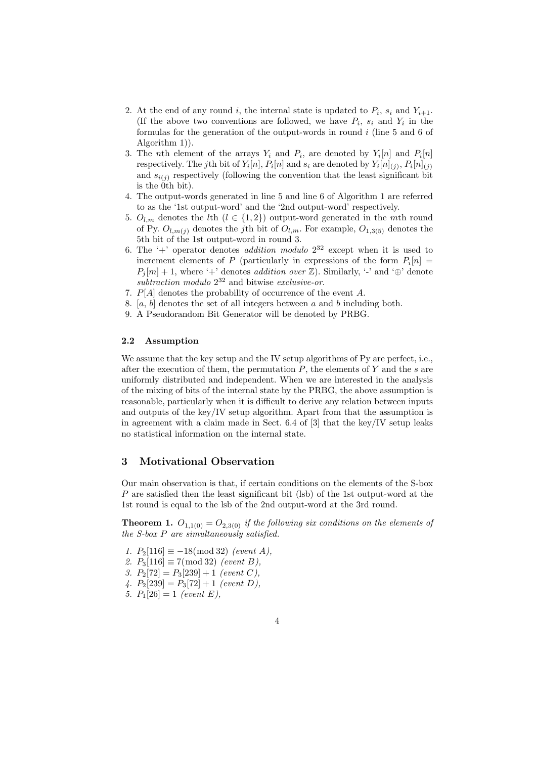- 2. At the end of any round i, the internal state is updated to  $P_i$ ,  $s_i$  and  $Y_{i+1}$ . (If the above two conventions are followed, we have  $P_i$ ,  $s_i$  and  $Y_i$  in the formulas for the generation of the output-words in round  $i$  (line 5 and 6 of Algorithm 1)).
- 3. The nth element of the arrays  $Y_i$  and  $P_i$ , are denoted by  $Y_i[n]$  and  $P_i[n]$ respectively. The jth bit of  $Y_i[n], P_i[n]$  and  $s_i$  are denoted by  $Y_i[n]_{(j)}, P_i[n]_{(j)}$ and  $s_{i(j)}$  respectively (following the convention that the least significant bit is the 0th bit).
- 4. The output-words generated in line 5 and line 6 of Algorithm 1 are referred to as the '1st output-word' and the '2nd output-word' respectively.
- 5.  $O_{l,m}$  denotes the *l*th  $(l \in \{1,2\})$  output-word generated in the *m*th round of Py.  $O_{l,m(j)}$  denotes the jth bit of  $O_{l,m}$ . For example,  $O_{1,3(5)}$  denotes the 5th bit of the 1st output-word in round 3.
- 6. The '+' operator denotes *addition modulo*  $2^{32}$  except when it is used to increment elements of P (particularly in expressions of the form  $P_i[n] =$  $P_i[m] + 1$ , where '+' denotes *addition over*  $\mathbb{Z}$ ). Similarly, '-' and ' $\oplus$ ' denote subtraction modulo  $2^{32}$  and bitwise exclusive-or.
- 7. P[A] denotes the probability of occurrence of the event A.
- 8. [a, b] denotes the set of all integers between a and b including both.
- 9. A Pseudorandom Bit Generator will be denoted by PRBG.

### 2.2 Assumption

We assume that the key setup and the IV setup algorithms of Py are perfect, i.e., after the execution of them, the permutation  $P$ , the elements of  $Y$  and the  $s$  are uniformly distributed and independent. When we are interested in the analysis of the mixing of bits of the internal state by the PRBG, the above assumption is reasonable, particularly when it is difficult to derive any relation between inputs and outputs of the key/IV setup algorithm. Apart from that the assumption is in agreement with a claim made in Sect. 6.4 of  $[3]$  that the key/IV setup leaks no statistical information on the internal state.

### 3 Motivational Observation

Our main observation is that, if certain conditions on the elements of the S-box P are satisfied then the least significant bit (lsb) of the 1st output-word at the 1st round is equal to the lsb of the 2nd output-word at the 3rd round.

**Theorem 1.**  $O_{1,1(0)} = O_{2,3(0)}$  if the following six conditions on the elements of the S-box P are simultaneously satisfied.

- 1.  $P_2[116] \equiv -18 \pmod{32}$  (event A),
- 2.  $P_3[116] \equiv 7 \pmod{32}$  (event B),
- 3.  $P_2[72] = P_3[239] + 1$  (event C),
- 4.  $P_2[239] = P_3[72] + 1$  (event D),
- 5.  $P_1[26] = 1$  (event E),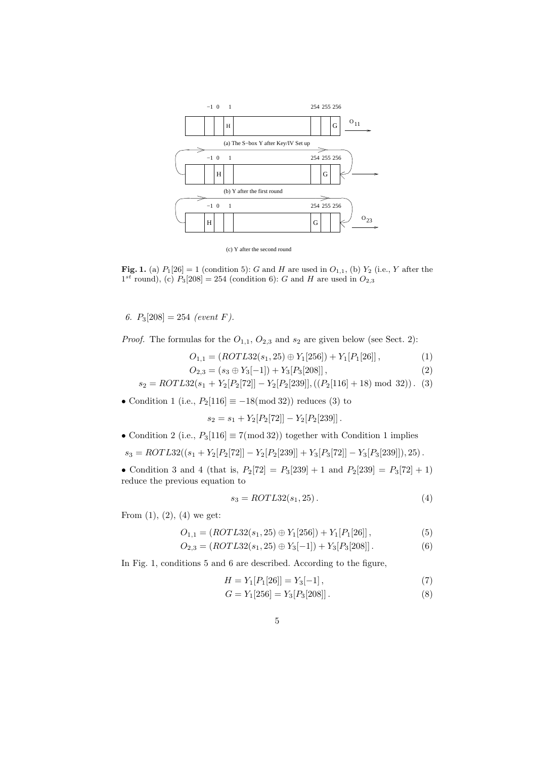

(c) Y after the second round

**Fig. 1.** (a)  $P_1[26] = 1$  (condition 5): G and H are used in  $O_{1,1}$ , (b)  $Y_2$  (i.e., Y after the  $1^{st}$  round), (c)  $P_3[208] = 254$  (condition 6): G and H are used in  $O_{2,3}$ 

6.  $P_3[208] = 254$  (event F).

*Proof.* The formulas for the  $O_{1,1}$ ,  $O_{2,3}$  and  $s_2$  are given below (see Sect. 2):

$$
O_{1,1} = (ROTL32(s_1, 25) \oplus Y_1[256]) + Y_1[P_1[26]], \tag{1}
$$

$$
O_{2,3} = (s_3 \oplus Y_3[-1]) + Y_3[P_3[208]], \qquad (2)
$$

$$
s_2 = \text{ROTL32}(s_1 + Y_2[P_2[72]] - Y_2[P_2[239]], ((P_2[116] + 18) \text{ mod } 32)). \tag{3}
$$

• Condition 1 (i.e.,  $P_2[116] \equiv -18 \pmod{32}$ ) reduces (3) to

 $s_2 = s_1 + Y_2[P_2[72]] - Y_2[P_2[239]]$ .

• Condition 2 (i.e.,  $P_3[116] \equiv 7 \pmod{32}$ ) together with Condition 1 implies

 $s_3 = ROTL32((s_1 + Y_2[P_2[72]] - Y_2[P_2[239]] + Y_3[P_3[72]] - Y_3[P_3[239]]), 25).$ 

• Condition 3 and 4 (that is,  $P_2[72] = P_3[239] + 1$  and  $P_2[239] = P_3[72] + 1$ ) reduce the previous equation to

$$
s_3 = ROTL32(s_1, 25). \tag{4}
$$

From  $(1)$ ,  $(2)$ ,  $(4)$  we get:

$$
O_{1,1} = (ROTL32(s_1, 25) \oplus Y_1[256]) + Y_1[P_1[26]], \qquad (5)
$$

$$
O_{2,3} = (ROTL32(s_1, 25) \oplus Y_3[-1]) + Y_3[P_3[208]].
$$
\n(6)

In Fig. 1, conditions 5 and 6 are described. According to the figure,

$$
H = Y_1[P_1[26]] = Y_3[-1], \tag{7}
$$

$$
G = Y_1[256] = Y_3[P_3[208]]\,. \tag{8}
$$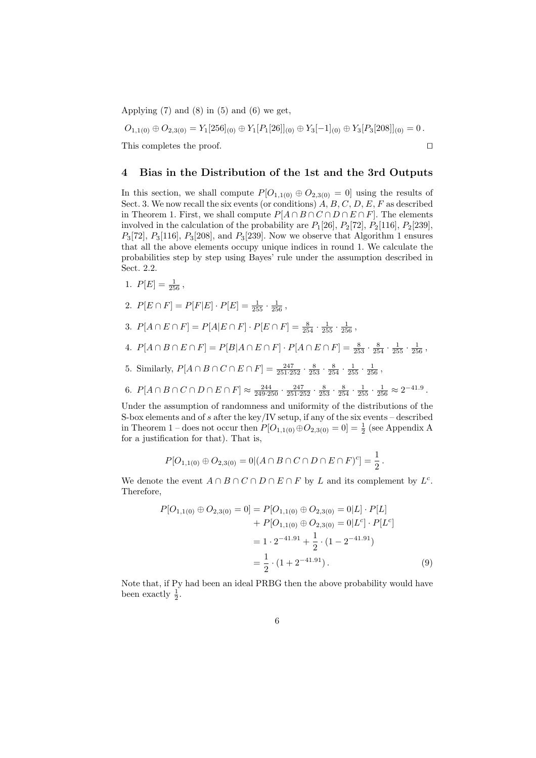Applying  $(7)$  and  $(8)$  in  $(5)$  and  $(6)$  we get,

$$
O_{1,1(0)} \oplus O_{2,3(0)} = Y_1[256]_{(0)} \oplus Y_1[P_1[26]]_{(0)} \oplus Y_3[-1]_{(0)} \oplus Y_3[P_3[208]]_{(0)} = 0.
$$
  
This completes the proof.

### 4 Bias in the Distribution of the 1st and the 3rd Outputs

In this section, we shall compute  $P[O_{1,1(0)} \oplus O_{2,3(0)} = 0]$  using the results of Sect. 3. We now recall the six events (or conditions)  $A, B, C, D, E, F$  as described in Theorem 1. First, we shall compute  $P[A \cap B \cap C \cap D \cap E \cap F]$ . The elements involved in the calculation of the probability are  $P_1[26]$ ,  $P_2[72]$ ,  $P_2[116]$ ,  $P_2[239]$ ,  $P_3[72], P_3[116], P_3[208],$  and  $P_3[239]$ . Now we observe that Algorithm 1 ensures that all the above elements occupy unique indices in round 1. We calculate the probabilities step by step using Bayes' rule under the assumption described in Sect. 2.2.

- 1.  $P[E] = \frac{1}{256}$ ,
- 2.  $P[E \cap F] = P[F|E] \cdot P[E] = \frac{1}{255} \cdot \frac{1}{256}$ ,
- 3.  $P[A \cap E \cap F] = P[A|E \cap F] \cdot P[E \cap F] = \frac{8}{254} \cdot \frac{1}{255} \cdot \frac{1}{256}$ ,
- 4.  $P[A \cap B \cap E \cap F] = P[B | A \cap E \cap F] \cdot P[A \cap E \cap F] = \frac{8}{253} \cdot \frac{8}{254} \cdot \frac{1}{255} \cdot \frac{1}{256}$ ,
- 5. Similarly,  $P[A \cap B \cap C \cap E \cap F] = \frac{247}{251 \cdot 252} \cdot \frac{8}{253} \cdot \frac{8}{254} \cdot \frac{1}{255} \cdot \frac{1}{256}$ ,
- 6.  $P[A \cap B \cap C \cap D \cap E \cap F] \approx \frac{244}{249 \cdot 250} \cdot \frac{247}{251 \cdot 252} \cdot \frac{8}{253} \cdot \frac{8}{254} \cdot \frac{1}{255} \cdot \frac{1}{256} \approx 2^{-41.9}$ .

Under the assumption of randomness and uniformity of the distributions of the S-box elements and of  $s$  after the key/IV setup, if any of the six events  $-$  described in Theorem 1 – does not occur then  $P[O_{1,1(0)} \oplus O_{2,3(0)} = 0] = \frac{1}{2}$  (see Appendix A for a justification for that). That is,

$$
P[O_{1,1(0)} \oplus O_{2,3(0)} = 0 | (A \cap B \cap C \cap D \cap E \cap F)^c] = \frac{1}{2}.
$$

We denote the event  $A \cap B \cap C \cap D \cap E \cap F$  by L and its complement by  $L^c$ . Therefore,

$$
P[O_{1,1(0)} \oplus O_{2,3(0)} = 0] = P[O_{1,1(0)} \oplus O_{2,3(0)} = 0|L] \cdot P[L]
$$
  
+ 
$$
P[O_{1,1(0)} \oplus O_{2,3(0)} = 0|L^c] \cdot P[L^c]
$$
  
= 
$$
1 \cdot 2^{-41.91} + \frac{1}{2} \cdot (1 - 2^{-41.91})
$$
  
= 
$$
\frac{1}{2} \cdot (1 + 2^{-41.91}).
$$
 (9)

Note that, if Py had been an ideal PRBG then the above probability would have been exactly  $\frac{1}{2}$ .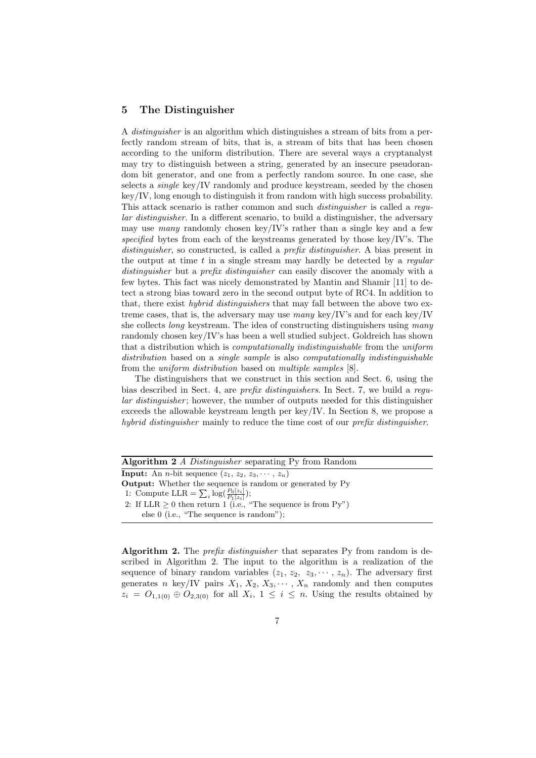### 5 The Distinguisher

A distinguisher is an algorithm which distinguishes a stream of bits from a perfectly random stream of bits, that is, a stream of bits that has been chosen according to the uniform distribution. There are several ways a cryptanalyst may try to distinguish between a string, generated by an insecure pseudorandom bit generator, and one from a perfectly random source. In one case, she selects a *single* key/IV randomly and produce keystream, seeded by the chosen key/IV, long enough to distinguish it from random with high success probability. This attack scenario is rather common and such distinguisher is called a regular distinguisher. In a different scenario, to build a distinguisher, the adversary may use many randomly chosen key/IV's rather than a single key and a few specified bytes from each of the keystreams generated by those key/IV's. The distinguisher, so constructed, is called a prefix distinguisher. A bias present in the output at time  $t$  in a single stream may hardly be detected by a *regular* distinguisher but a prefix distinguisher can easily discover the anomaly with a few bytes. This fact was nicely demonstrated by Mantin and Shamir [11] to detect a strong bias toward zero in the second output byte of RC4. In addition to that, there exist hybrid distinguishers that may fall between the above two extreme cases, that is, the adversary may use many key/IV's and for each key/IV she collects *long* keystream. The idea of constructing distinguishers using many randomly chosen key/IV's has been a well studied subject. Goldreich has shown that a distribution which is computationally indistinguishable from the uniform distribution based on a *single sample* is also *computationally indistinguishable* from the uniform distribution based on multiple samples [8].

The distinguishers that we construct in this section and Sect. 6, using the bias described in Sect. 4, are prefix distinguishers. In Sect. 7, we build a regular distinguisher; however, the number of outputs needed for this distinguisher exceeds the allowable keystream length per key/IV. In Section 8, we propose a hybrid distinguisher mainly to reduce the time cost of our prefix distinguisher.

| <b>Algorithm 2</b> A Distinguisher separating Py from Random          |
|-----------------------------------------------------------------------|
| <b>Input:</b> An <i>n</i> -bit sequence $(z_1, z_2, z_3, \dots, z_n)$ |
| <b>Output:</b> Whether the sequence is random or generated by Py      |
| 1: Compute LLR = $\sum_i \log(\frac{P_0[z_i]}{P_1[z_i]});$            |
| 2: If LLR $\geq 0$ then return 1 (i.e., "The sequence is from Py")    |
| else $0$ (i.e., "The sequence is random");                            |
|                                                                       |

Algorithm 2. The *prefix distinguisher* that separates Py from random is described in Algorithm 2. The input to the algorithm is a realization of the sequence of binary random variables  $(z_1, z_2, z_3, \dots, z_n)$ . The adversary first generates n key/IV pairs  $X_1, X_2, X_3, \cdots, X_n$  randomly and then computes  $z_i = O_{1,1(0)} \oplus O_{2,3(0)}$  for all  $X_i, 1 \leq i \leq n$ . Using the results obtained by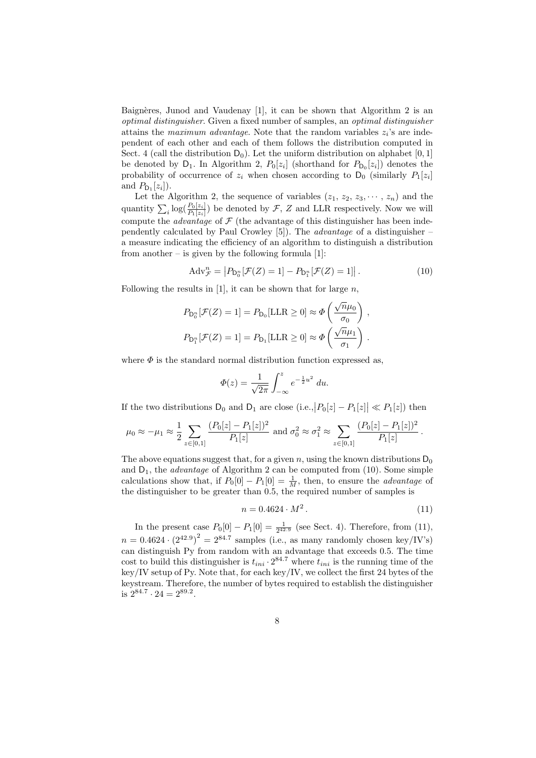Baignères, Junod and Vaudenay  $[1]$ , it can be shown that Algorithm 2 is an optimal distinguisher. Given a fixed number of samples, an optimal distinguisher attains the *maximum advantage*. Note that the random variables  $z_i$ 's are independent of each other and each of them follows the distribution computed in Sect. 4 (call the distribution  $D_0$ ). Let the uniform distribution on alphabet [0, 1] be denoted by  $D_1$ . In Algorithm 2,  $P_0[z_i]$  (shorthand for  $P_{D_0}[z_i]$ ) denotes the probability of occurrence of  $z_i$  when chosen according to  $D_0$  (similarly  $P_1[z_i]$ and  $P_{\mathsf{D}_1}[z_i]$ ).

Let the Algorithm 2, the sequence of variables  $(z_1, z_2, z_3, \dots, z_n)$  and the Let the Higginian 2, the sequence of variables  $(z_1, z_2, z_3, \dots, z_n)$  and the quantity  $\sum_i \log(\frac{P_0[z_i]}{P_1[z_i]})$  be denoted by  $\mathcal{F}$ ,  $Z$  and LLR respectively. Now we will compute the *advantage* of  $F$  (the advantage of this distinguisher has been independently calculated by Paul Crowley [5]). The advantage of a distinguisher – a measure indicating the efficiency of an algorithm to distinguish a distribution from another – is given by the following formula  $[1]$ :

$$
Adv_{\mathcal{F}}^{n} = \left| P_{\mathsf{D}_{0}^{n}}[\mathcal{F}(Z) = 1] - P_{\mathsf{D}_{1}^{n}}[\mathcal{F}(Z) = 1] \right|.
$$
 (10)

Following the results in [1], it can be shown that for large  $n$ ,

$$
P_{D_0^n}[\mathcal{F}(Z) = 1] = P_{D_0}[\text{LLR} \ge 0] \approx \Phi\left(\frac{\sqrt{n}\mu_0}{\sigma_0}\right),
$$
  

$$
P_{D_1^n}[\mathcal{F}(Z) = 1] = P_{D_1}[\text{LLR} \ge 0] \approx \Phi\left(\frac{\sqrt{n}\mu_1}{\sigma_1}\right).
$$

where  $\Phi$  is the standard normal distribution function expressed as,

$$
\Phi(z) = \frac{1}{\sqrt{2\pi}} \int_{-\infty}^{z} e^{-\frac{1}{2}u^2} du.
$$

If the two distributions  $D_0$  and  $D_1$  are close (i.e.,  $|P_0[z] - P_1[z]| \ll P_1[z]$  then

$$
\mu_0 \approx -\mu_1 \approx \frac{1}{2} \sum_{z \in [0,1]} \frac{(P_0[z] - P_1[z])^2}{P_1[z]} \text{ and } \sigma_0^2 \approx \sigma_1^2 \approx \sum_{z \in [0,1]} \frac{(P_0[z] - P_1[z])^2}{P_1[z]}.
$$

The above equations suggest that, for a given n, using the known distributions  $D_0$ and  $D_1$ , the *advantage* of Algorithm 2 can be computed from (10). Some simple calculations show that, if  $P_0[0] - P_1[0] = \frac{1}{M}$ , then, to ensure the *advantage* of the distinguisher to be greater than 0.5, the required number of samples is

$$
n = 0.4624 \cdot M^2. \tag{11}
$$

In the present case  $P_0[0] - P_1[0] = \frac{1}{2^{42.9}}$  (see Sect. 4). Therefore, from (11),  $n = 0.4624 \cdot (2^{42.9})^2 = 2^{84.7}$  samples (i.e., as many randomly chosen key/IV's) can distinguish Py from random with an advantage that exceeds 0.5. The time cost to build this distinguisher is  $t_{ini} \cdot 2^{84.7}$  where  $t_{ini}$  is the running time of the key/IV setup of Py. Note that, for each key/IV, we collect the first 24 bytes of the keystream. Therefore, the number of bytes required to establish the distinguisher is  $2^{84.7} \cdot 24 = 2^{89.2}$ .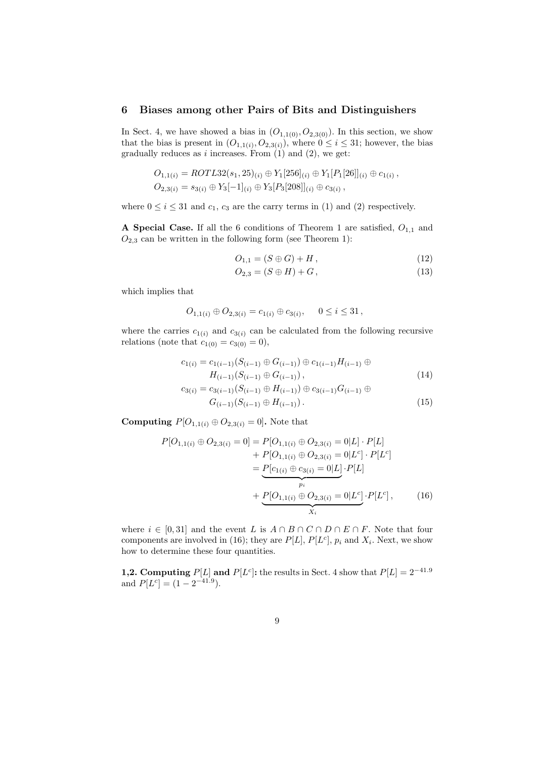### 6 Biases among other Pairs of Bits and Distinguishers

In Sect. 4, we have showed a bias in  $(O_{1,1(0)}, O_{2,3(0)})$ . In this section, we show that the bias is present in  $(O_{1,1(i)}, O_{2,3(i)})$ , where  $0 \le i \le 31$ ; however, the bias gradually reduces as  $i$  increases. From  $(1)$  and  $(2)$ , we get:

$$
O_{1,1(i)} = ROTL32(s_1, 25)_{(i)} \oplus Y_1[256]_{(i)} \oplus Y_1[P_1[26]]_{(i)} \oplus c_{1(i)},
$$
  
\n
$$
O_{2,3(i)} = s_{3(i)} \oplus Y_3[-1]_{(i)} \oplus Y_3[P_3[208]]_{(i)} \oplus c_{3(i)},
$$

where  $0 \le i \le 31$  and  $c_1$ ,  $c_3$  are the carry terms in (1) and (2) respectively.

A Special Case. If all the 6 conditions of Theorem 1 are satisfied,  $O_{1,1}$  and  $O_{2,3}$  can be written in the following form (see Theorem 1):

$$
O_{1,1} = (S \oplus G) + H, \tag{12}
$$

$$
O_{2,3} = (S \oplus H) + G, \tag{13}
$$

which implies that

$$
O_{1,1(i)} \oplus O_{2,3(i)} = c_{1(i)} \oplus c_{3(i)}, \quad 0 \le i \le 31,
$$

where the carries  $c_{1(i)}$  and  $c_{3(i)}$  can be calculated from the following recursive relations (note that  $c_{1(0)} = c_{3(0)} = 0$ ),

$$
c_{1(i)} = c_{1(i-1)}(S_{(i-1)} \oplus G_{(i-1)}) \oplus c_{1(i-1)}H_{(i-1)} \oplus H_{(i-1)}(S_{(i-1)} \oplus G_{(i-1)}),
$$
  
\n
$$
c_{3(i)} = c_{3(i-1)}(S_{(i-1)} \oplus H_{(i-1)}) \oplus c_{3(i-1)}G_{(i-1)} \oplus G_{(i-1)}(S_{(i-1)} \oplus H_{(i-1)}).
$$
\n(15)

Computing  $P[O_{1,1(i)} \oplus O_{2,3(i)} = 0]$ . Note that

$$
P[O_{1,1(i)} \oplus O_{2,3(i)} = 0] = P[O_{1,1(i)} \oplus O_{2,3(i)} = 0|L] \cdot P[L]
$$
  
+ 
$$
P[O_{1,1(i)} \oplus O_{2,3(i)} = 0|L^c] \cdot P[L^c]
$$
  
= 
$$
P[c_{1(i)} \oplus c_{3(i)} = 0|L] \cdot P[L]
$$
  
+ 
$$
P[O_{1,1(i)} \oplus O_{2,3(i)} = 0|L^c] \cdot P[L^c],
$$
 (16)

where  $i \in [0, 31]$  and the event L is  $A \cap B \cap C \cap D \cap E \cap F$ . Note that four components are involved in (16); they are  $P[L]$ ,  $P[L^c]$ ,  $p_i$  and  $X_i$ . Next, we show how to determine these four quantities.

**1,2. Computing**  $P[L]$  and  $P[L^c]$ : the results in Sect. 4 show that  $P[L] = 2^{-41.9}$ and  $P[L^c] = (1 - 2^{-41.9}).$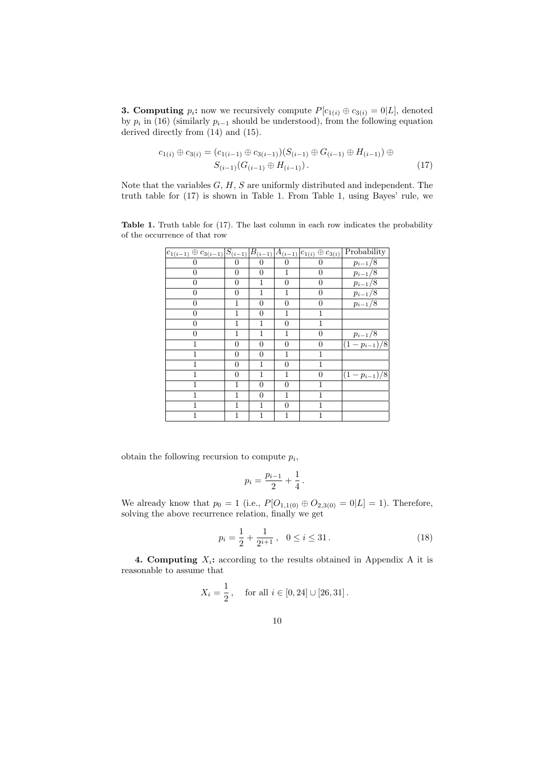**3. Computing**  $p_i$ : now we recursively compute  $P[c_{1(i)} \oplus c_{3(i)} = 0|L]$ , denoted by  $p_i$  in (16) (similarly  $p_{i-1}$  should be understood), from the following equation derived directly from (14) and (15).

$$
c_{1(i)} \oplus c_{3(i)} = (c_{1(i-1)} \oplus c_{3(i-1)})(S_{(i-1)} \oplus G_{(i-1)} \oplus H_{(i-1)}) \oplus S_{(i-1)}(G_{(i-1)} \oplus H_{(i-1)}).
$$
 (17)

Note that the variables  $G, H, S$  are uniformly distributed and independent. The truth table for (17) is shown in Table 1. From Table 1, using Bayes' rule, we

Table 1. Truth table for (17). The last column in each row indicates the probability of the occurrence of that row

| $ c_{1(i-1)} \oplus c_{3(i-1)} S_{(i-1)} B_{(i-1)} A_{(i-1)} c_{1(i)} \oplus c_{3(i)} $ |                |                |                |                  | Probability             |
|-----------------------------------------------------------------------------------------|----------------|----------------|----------------|------------------|-------------------------|
| $\theta$                                                                                | $\theta$       | $\overline{0}$ | $\overline{0}$ | 0                | $p_{i-1}/8$             |
| 0                                                                                       | $\overline{0}$ | $\overline{0}$ | 1              | $\boldsymbol{0}$ | $p_{i-1}/8$             |
| 0                                                                                       | 0              | 1              | $\overline{0}$ | 0                | $p_{i-1}/8$             |
| 0                                                                                       | 0              | 1              | 1              | $\theta$         | $p_{i-1}/8$             |
| 0                                                                                       | 1              | $\overline{0}$ | $\overline{0}$ | $\theta$         | $p_{i-1}/8$             |
| 0                                                                                       | 1              | $\overline{0}$ | 1              | 1                |                         |
| 0                                                                                       | 1              | 1              | $\overline{0}$ | 1                |                         |
| 0                                                                                       | 1              | 1              | 1              | 0                | $p_{i-1}/8$             |
| 1                                                                                       | 0              | $\overline{0}$ | $\overline{0}$ | 0                | $(\frac{1-p_{i-1}}{8})$ |
| 1                                                                                       | 0              | $\overline{0}$ | 1              | 1                |                         |
| 1                                                                                       | 0              | 1              | $\overline{0}$ | 1                |                         |
| 1                                                                                       | 0              | 1              | 1              | 0                | $(1-p_{i-1})/8$         |
|                                                                                         | 1              | $\overline{0}$ | $\overline{0}$ | 1                |                         |
| 1                                                                                       | 1              | $\overline{0}$ | 1              | 1                |                         |
| 1                                                                                       | 1              | 1              | $\overline{0}$ | 1                |                         |
|                                                                                         |                | 1              | 1              | 1                |                         |

obtain the following recursion to compute  $p_i$ ,

$$
p_i = \frac{p_{i-1}}{2} + \frac{1}{4} \, .
$$

We already know that  $p_0 = 1$  (i.e.,  $P[O_{1,1(0)} \oplus O_{2,3(0)} = 0|L] = 1$ ). Therefore, solving the above recurrence relation, finally we get

$$
p_i = \frac{1}{2} + \frac{1}{2^{i+1}}, \quad 0 \le i \le 31.
$$
 (18)

4. Computing  $X_i$ : according to the results obtained in Appendix A it is reasonable to assume that

$$
X_i = \frac{1}{2}
$$
, for all  $i \in [0, 24] \cup [26, 31]$ .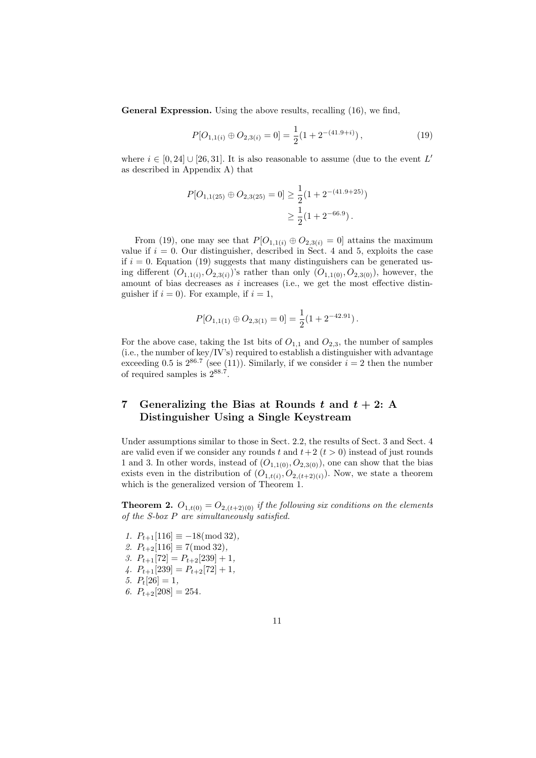General Expression. Using the above results, recalling (16), we find,

$$
P[O_{1,1(i)} \oplus O_{2,3(i)} = 0] = \frac{1}{2} (1 + 2^{-(41.9+i)}), \qquad (19)
$$

where  $i \in [0, 24] \cup [26, 31]$ . It is also reasonable to assume (due to the event L' as described in Appendix A) that

$$
P[O_{1,1(25)} \oplus O_{2,3(25)} = 0] \ge \frac{1}{2} (1 + 2^{-(41.9 + 25)})
$$
  

$$
\ge \frac{1}{2} (1 + 2^{-66.9}).
$$

From (19), one may see that  $P[O_{1,1(i)} \oplus O_{2,3(i)} = 0]$  attains the maximum value if  $i = 0$ . Our distinguisher, described in Sect. 4 and 5, exploits the case if  $i = 0$ . Equation (19) suggests that many distinguishers can be generated using different  $(O_{1,1(i)}, O_{2,3(i)})$ 's rather than only  $(O_{1,1(0)}, O_{2,3(0)})$ , however, the amount of bias decreases as i increases (i.e., we get the most effective distinguisher if  $i = 0$ ). For example, if  $i = 1$ ,

$$
P[O_{1,1(1)} \oplus O_{2,3(1)} = 0] = \frac{1}{2}(1 + 2^{-42.91}).
$$

For the above case, taking the 1st bits of  $O_{1,1}$  and  $O_{2,3}$ , the number of samples (i.e., the number of key/IV's) required to establish a distinguisher with advantage exceeding 0.5 is  $2^{86.7}$  (see (11)). Similarly, if we consider  $i = 2$  then the number of required samples is  $2^{88.7}$ .

# 7 Generalizing the Bias at Rounds t and  $t + 2$ : A Distinguisher Using a Single Keystream

Under assumptions similar to those in Sect. 2.2, the results of Sect. 3 and Sect. 4 are valid even if we consider any rounds t and  $t + 2$  ( $t > 0$ ) instead of just rounds 1 and 3. In other words, instead of  $(O_{1,1(0)}, O_{2,3(0)})$ , one can show that the bias exists even in the distribution of  $(O_{1,t(i)}, O_{2,(t+2)(i)})$ . Now, we state a theorem which is the generalized version of Theorem 1.

**Theorem 2.**  $O_{1,t(0)} = O_{2,(t+2)(0)}$  if the following six conditions on the elements of the S-box P are simultaneously satisfied.

- 1.  $P_{t+1}[116] \equiv -18 \pmod{32}$ ,
- 2.  $P_{t+2}[116] \equiv 7 \pmod{32}$ ,
- 3.  $P_{t+1}[72] = P_{t+2}[239] + 1$ ,
- 4.  $P_{t+1}[239] = P_{t+2}[72] + 1$ ,
- 5.  $P_t[26] = 1$ ,
- 6.  $P_{t+2}[208] = 254$ .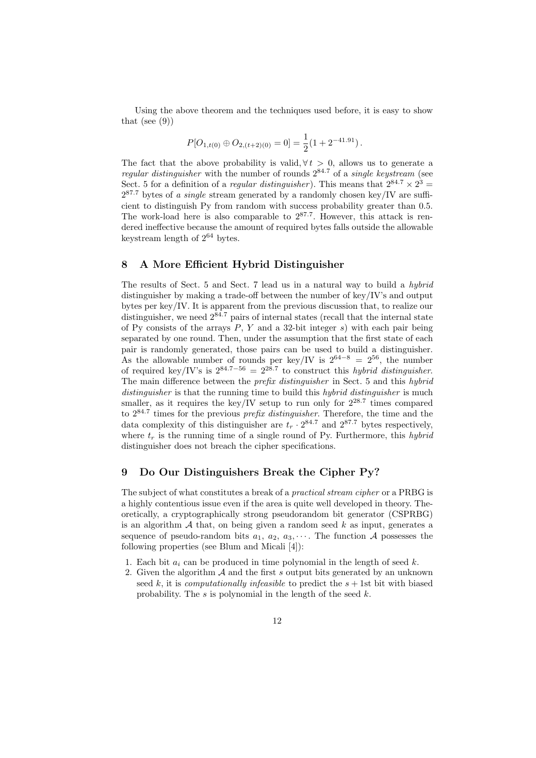Using the above theorem and the techniques used before, it is easy to show that (see  $(9)$ )

$$
P[O_{1,t(0)} \oplus O_{2,(t+2)(0)} = 0] = \frac{1}{2}(1 + 2^{-41.91}).
$$

The fact that the above probability is valid,  $\forall t > 0$ , allows us to generate a regular distinguisher with the number of rounds  $2^{84.7}$  of a single keystream (see Sect. 5 for a definition of a *regular distinguisher*). This means that  $2^{84.7} \times 2^3 =$  $2^{87.7}$  bytes of a single stream generated by a randomly chosen key/IV are sufficient to distinguish Py from random with success probability greater than 0.5. The work-load here is also comparable to  $2^{87.7}$ . However, this attack is rendered ineffective because the amount of required bytes falls outside the allowable keystream length of 2<sup>64</sup> bytes.

### 8 A More Efficient Hybrid Distinguisher

The results of Sect. 5 and Sect. 7 lead us in a natural way to build a hybrid distinguisher by making a trade-off between the number of key/IV's and output bytes per key/IV. It is apparent from the previous discussion that, to realize our distinguisher, we need  $2^{84.7}$  pairs of internal states (recall that the internal state of Py consists of the arrays  $P, Y$  and a 32-bit integer  $s$ ) with each pair being separated by one round. Then, under the assumption that the first state of each pair is randomly generated, those pairs can be used to build a distinguisher. As the allowable number of rounds per key/IV is  $2^{64-8} = 2^{56}$ , the number of required key/IV's is  $2^{84.7-56} = 2^{28.7}$  to construct this hybrid distinguisher. The main difference between the *prefix distinguisher* in Sect. 5 and this *hybrid* distinguisher is that the running time to build this hybrid distinguisher is much smaller, as it requires the key/IV setup to run only for  $2^{28.7}$  times compared to  $2^{84.7}$  times for the previous *prefix distinguisher*. Therefore, the time and the data complexity of this distinguisher are  $t_r \cdot 2^{84.7}$  and  $2^{87.7}$  bytes respectively, where  $t_r$  is the running time of a single round of Py. Furthermore, this hybrid distinguisher does not breach the cipher specifications.

### 9 Do Our Distinguishers Break the Cipher Py?

The subject of what constitutes a break of a *practical stream cipher* or a PRBG is a highly contentious issue even if the area is quite well developed in theory. Theoretically, a cryptographically strong pseudorandom bit generator (CSPRBG) is an algorithm  $A$  that, on being given a random seed  $k$  as input, generates a sequence of pseudo-random bits  $a_1, a_2, a_3, \cdots$ . The function A possesses the following properties (see Blum and Micali [4]):

- 1. Each bit  $a_i$  can be produced in time polynomial in the length of seed k.
- 2. Given the algorithm  $A$  and the first  $s$  output bits generated by an unknown seed k, it is *computationally infeasible* to predict the  $s + 1$ st bit with biased probability. The s is polynomial in the length of the seed  $k$ .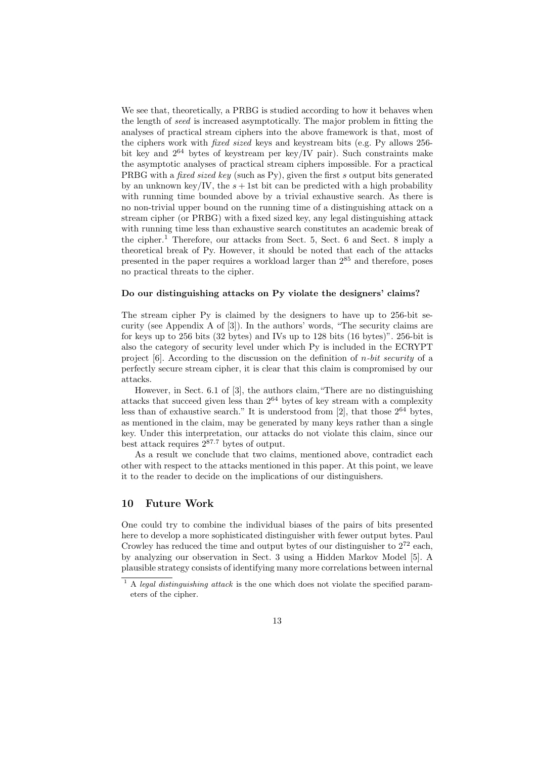We see that, theoretically, a PRBG is studied according to how it behaves when the length of seed is increased asymptotically. The major problem in fitting the analyses of practical stream ciphers into the above framework is that, most of the ciphers work with fixed sized keys and keystream bits (e.g. Py allows 256 bit key and  $2^{64}$  bytes of keystream per key/IV pair). Such constraints make the asymptotic analyses of practical stream ciphers impossible. For a practical PRBG with a *fixed sized key* (such as Py), given the first s output bits generated by an unknown key/IV, the  $s + 1$ st bit can be predicted with a high probability with running time bounded above by a trivial exhaustive search. As there is no non-trivial upper bound on the running time of a distinguishing attack on a stream cipher (or PRBG) with a fixed sized key, any legal distinguishing attack with running time less than exhaustive search constitutes an academic break of the cipher.<sup>1</sup> Therefore, our attacks from Sect. 5, Sect. 6 and Sect. 8 imply a theoretical break of Py. However, it should be noted that each of the attacks presented in the paper requires a workload larger than  $2^{85}$  and therefore, poses no practical threats to the cipher.

### Do our distinguishing attacks on Py violate the designers' claims?

The stream cipher Py is claimed by the designers to have up to 256-bit security (see Appendix A of [3]). In the authors' words, "The security claims are for keys up to 256 bits (32 bytes) and IVs up to 128 bits (16 bytes)". 256-bit is also the category of security level under which Py is included in the ECRYPT project [6]. According to the discussion on the definition of  $n$ -bit security of a perfectly secure stream cipher, it is clear that this claim is compromised by our attacks.

However, in Sect. 6.1 of [3], the authors claim,"There are no distinguishing attacks that succeed given less than  $2^{64}$  bytes of key stream with a complexity less than of exhaustive search." It is understood from [2], that those  $2^{64}$  bytes, as mentioned in the claim, may be generated by many keys rather than a single key. Under this interpretation, our attacks do not violate this claim, since our best attack requires  $2^{87.7}$  bytes of output.

As a result we conclude that two claims, mentioned above, contradict each other with respect to the attacks mentioned in this paper. At this point, we leave it to the reader to decide on the implications of our distinguishers.

# 10 Future Work

One could try to combine the individual biases of the pairs of bits presented here to develop a more sophisticated distinguisher with fewer output bytes. Paul Crowley has reduced the time and output bytes of our distinguisher to  $2^{72}$  each, by analyzing our observation in Sect. 3 using a Hidden Markov Model [5]. A plausible strategy consists of identifying many more correlations between internal

 $1 \text{ A }$  legal distinguishing attack is the one which does not violate the specified parameters of the cipher.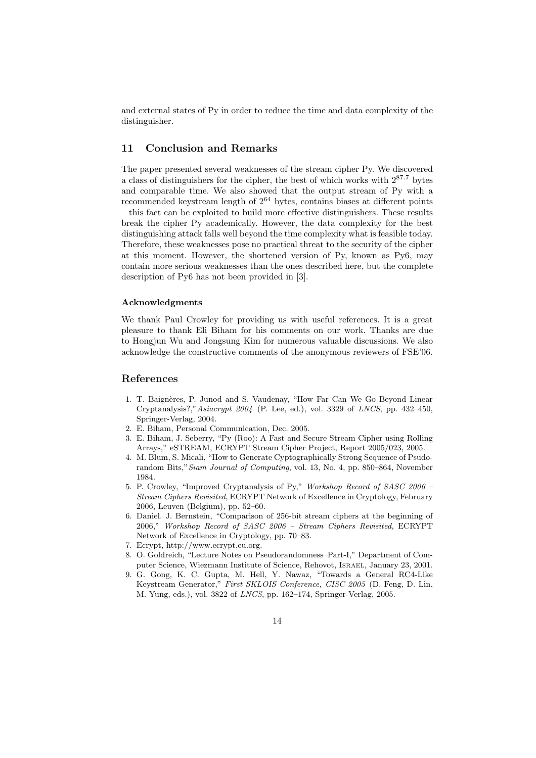and external states of Py in order to reduce the time and data complexity of the distinguisher.

# 11 Conclusion and Remarks

The paper presented several weaknesses of the stream cipher Py. We discovered a class of distinguishers for the cipher, the best of which works with  $2^{87.7}$  bytes and comparable time. We also showed that the output stream of Py with a recommended keystream length of  $2^{64}$  bytes, contains biases at different points – this fact can be exploited to build more effective distinguishers. These results break the cipher Py academically. However, the data complexity for the best distinguishing attack falls well beyond the time complexity what is feasible today. Therefore, these weaknesses pose no practical threat to the security of the cipher at this moment. However, the shortened version of Py, known as Py6, may contain more serious weaknesses than the ones described here, but the complete description of Py6 has not been provided in [3].

### Acknowledgments

We thank Paul Crowley for providing us with useful references. It is a great pleasure to thank Eli Biham for his comments on our work. Thanks are due to Hongjun Wu and Jongsung Kim for numerous valuable discussions. We also acknowledge the constructive comments of the anonymous reviewers of FSE'06.

### References

- 1. T. Baignères, P. Junod and S. Vaudenay, "How Far Can We Go Beyond Linear Cryptanalysis?,"Asiacrypt 2004 (P. Lee, ed.), vol. 3329 of LNCS, pp. 432–450, Springer-Verlag, 2004.
- 2. E. Biham, Personal Communication, Dec. 2005.
- 3. E. Biham, J. Seberry, "Py (Roo): A Fast and Secure Stream Cipher using Rolling Arrays," eSTREAM, ECRYPT Stream Cipher Project, Report 2005/023, 2005.
- 4. M. Blum, S. Micali, "How to Generate Cyptographically Strong Sequence of Psudorandom Bits,"Siam Journal of Computing, vol. 13, No. 4, pp. 850–864, November 1984.
- 5. P. Crowley, "Improved Cryptanalysis of Py," Workshop Record of SASC 2006 Stream Ciphers Revisited, ECRYPT Network of Excellence in Cryptology, February 2006, Leuven (Belgium), pp. 52–60.
- 6. Daniel. J. Bernstein, "Comparison of 256-bit stream ciphers at the beginning of 2006," Workshop Record of SASC 2006 – Stream Ciphers Revisited, ECRYPT Network of Excellence in Cryptology, pp. 70–83.
- 7. Ecrypt, http://www.ecrypt.eu.org.
- 8. O. Goldreich, "Lecture Notes on Pseudorandomness–Part-I," Department of Computer Science, Wiezmann Institute of Science, Rehovot, Israel, January 23, 2001.
- 9. G. Gong, K. C. Gupta, M. Hell, Y. Nawaz, "Towards a General RC4-Like Keystream Generator," First SKLOIS Conference, CISC 2005 (D. Feng, D. Lin, M. Yung, eds.), vol. 3822 of LNCS, pp. 162–174, Springer-Verlag, 2005.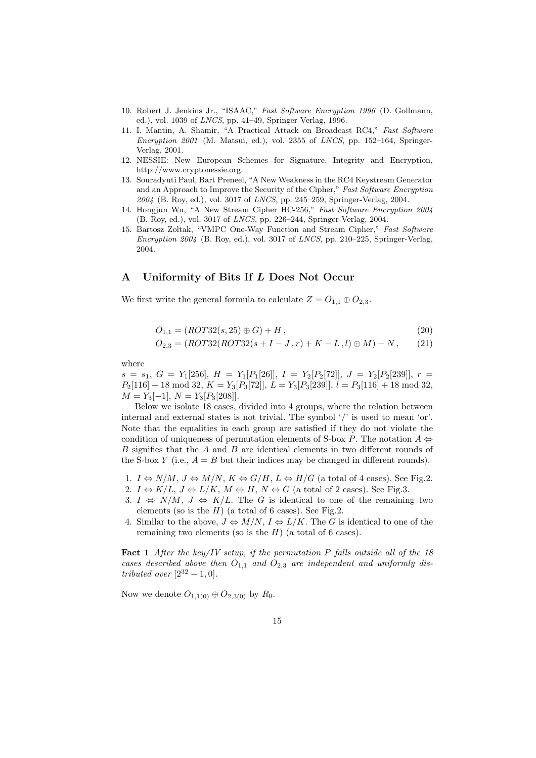- 10. Robert J. Jenkins Jr., "ISAAC," Fast Software Encryption 1996 (D. Gollmann, ed.), vol. 1039 of LNCS, pp. 41–49, Springer-Verlag, 1996.
- 11. I. Mantin, A. Shamir, "A Practical Attack on Broadcast RC4," Fast Software Encryption 2001 (M. Matsui, ed.), vol. 2355 of  $LNCS$ , pp. 152–164, Springer-Verlag, 2001.
- 12. NESSIE: New European Schemes for Signature, Integrity and Encryption, http://www.cryptonessie.org.
- 13. Souradyuti Paul, Bart Preneel, "A New Weakness in the RC4 Keystream Generator and an Approach to Improve the Security of the Cipher," Fast Software Encryption 2004 (B. Roy, ed.), vol. 3017 of LNCS, pp. 245–259, Springer-Verlag, 2004.
- 14. Hongjun Wu, "A New Stream Cipher HC-256," Fast Software Encryption 2004 (B. Roy, ed.), vol. 3017 of LNCS, pp. 226–244, Springer-Verlag, 2004.
- 15. Bartosz Zoltak, "VMPC One-Way Function and Stream Cipher," Fast Software Encryption 2004 (B. Roy, ed.), vol. 3017 of LNCS, pp. 210–225, Springer-Verlag, 2004.

# A Uniformity of Bits If L Does Not Occur

We first write the general formula to calculate  $Z = O_{1,1} \oplus O_{2,3}$ .

$$
O_{1,1} = (ROT32(s, 25) \oplus G) + H,
$$
\n<sup>(20)</sup>

$$
O_{2,3} = (ROT32 (ROT32(s + I - J, r) + K - L, l) \oplus M) + N, \tag{21}
$$

where

 $s = s_1, G = Y_1[256], H = Y_1[P_1[26]], I = Y_2[P_2[72]], J = Y_2[P_2[239]], r =$  $P_2[116] + 18 \mod 32, K = Y_3[P_3[72]], L = Y_3[P_3[239]], l = P_3[116] + 18 \mod 32,$  $M = Y_3[-1], N = Y_3[P_3[208]].$ 

Below we isolate 18 cases, divided into 4 groups, where the relation between internal and external states is not trivial. The symbol '/' is used to mean 'or'. Note that the equalities in each group are satisfied if they do not violate the condition of uniqueness of permutation elements of S-box P. The notation  $A \Leftrightarrow$ B signifies that the A and B are identical elements in two different rounds of the S-box Y (i.e.,  $A = B$  but their indices may be changed in different rounds).

- 1.  $I \Leftrightarrow N/M$ ,  $J \Leftrightarrow M/N$ ,  $K \Leftrightarrow G/H$ ,  $L \Leftrightarrow H/G$  (a total of 4 cases). See Fig.2.
- 2.  $I \Leftrightarrow K/L$ ,  $J \Leftrightarrow L/K$ ,  $M \Leftrightarrow H$ ,  $N \Leftrightarrow G$  (a total of 2 cases). See Fig.3.
- 3.  $I \Leftrightarrow N/M$ ,  $J \Leftrightarrow K/L$ . The G is identical to one of the remaining two elements (so is the  $H$ ) (a total of 6 cases). See Fig.2.
- 4. Similar to the above,  $J \Leftrightarrow M/N$ ,  $I \Leftrightarrow L/K$ . The G is identical to one of the remaining two elements (so is the  $H$ ) (a total of 6 cases).

**Fact 1** After the key/IV setup, if the permutation P falls outside all of the 18 cases described above then  $O_{1,1}$  and  $O_{2,3}$  are independent and uniformly distributed over  $[2^{32} - 1, 0]$ .

Now we denote  $O_{1,1(0)} \oplus O_{2,3(0)}$  by  $R_0$ .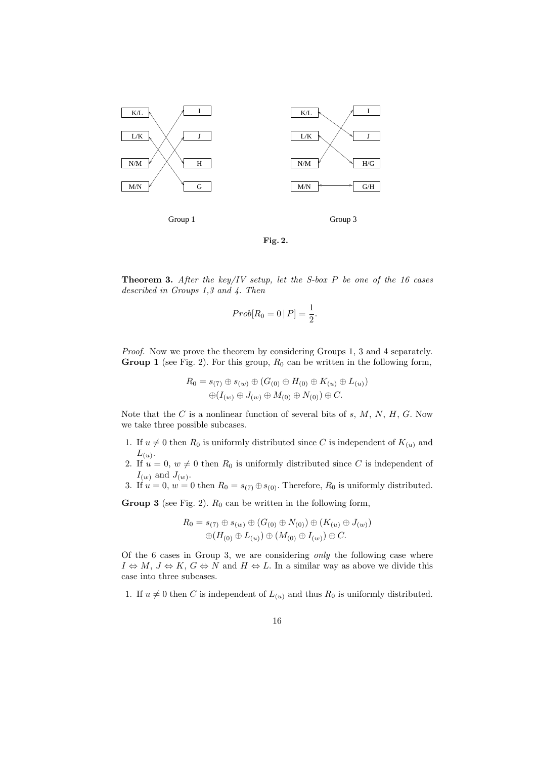

Fig. 2.

**Theorem 3.** After the key/IV setup, let the S-box P be one of the 16 cases described in Groups 1,3 and 4. Then

$$
Prob[R_0 = 0 | P] = \frac{1}{2}.
$$

Proof. Now we prove the theorem by considering Groups 1, 3 and 4 separately. **Group 1** (see Fig. 2). For this group,  $R_0$  can be written in the following form,

$$
R_0 = s_{(7)} \oplus s_{(w)} \oplus (G_{(0)} \oplus H_{(0)} \oplus K_{(u)} \oplus L_{(u)})
$$
  

$$
\oplus (I_{(w)} \oplus J_{(w)} \oplus M_{(0)} \oplus N_{(0)}) \oplus C.
$$

Note that the  $C$  is a nonlinear function of several bits of  $s, M, N, H, G$ . Now we take three possible subcases.

- 1. If  $u \neq 0$  then  $R_0$  is uniformly distributed since C is independent of  $K_{(u)}$  and  $L_{(u)}$ .
- 2. If  $u = 0, w \neq 0$  then  $R_0$  is uniformly distributed since C is independent of  $I_{(w)}$  and  $J_{(w)}$ .

3. If  $u = 0$ ,  $w = 0$  then  $R_0 = s_{(7)} \oplus s_{(0)}$ . Therefore,  $R_0$  is uniformly distributed.

Group 3 (see Fig. 2).  $R_0$  can be written in the following form,

$$
R_0 = s_{(7)} \oplus s_{(w)} \oplus (G_{(0)} \oplus N_{(0)}) \oplus (K_{(u)} \oplus J_{(w)})
$$
  

$$
\oplus (H_{(0)} \oplus L_{(u)}) \oplus (M_{(0)} \oplus I_{(w)}) \oplus C.
$$

Of the 6 cases in Group 3, we are considering only the following case where  $I \Leftrightarrow M, J \Leftrightarrow K, G \Leftrightarrow N$  and  $H \Leftrightarrow L$ . In a similar way as above we divide this case into three subcases.

1. If  $u \neq 0$  then C is independent of  $L_{(u)}$  and thus  $R_0$  is uniformly distributed.